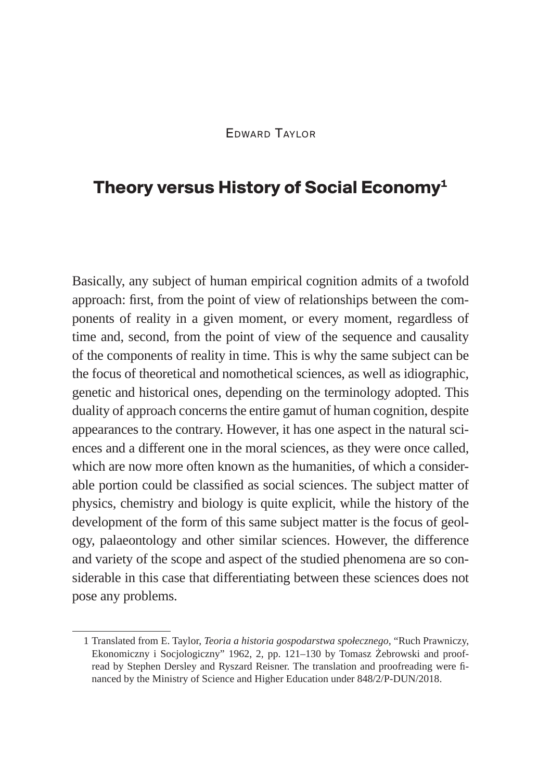## **Theory versus History of Social Economy1**

Basically, any subject of human empirical cognition admits of a twofold approach: first, from the point of view of relationships between the components of reality in a given moment, or every moment, regardless of time and, second, from the point of view of the sequence and causality of the components of reality in time. This is why the same subject can be the focus of theoretical and nomothetical sciences, as well as idiographic, genetic and historical ones, depending on the terminology adopted. This duality of approach concerns the entire gamut of human cognition, despite appearances to the contrary. However, it has one aspect in the natural sciences and a different one in the moral sciences, as they were once called, which are now more often known as the humanities, of which a considerable portion could be classified as social sciences. The subject matter of physics, chemistry and biology is quite explicit, while the history of the development of the form of this same subject matter is the focus of geology, palaeontology and other similar sciences. However, the difference and variety of the scope and aspect of the studied phenomena are so considerable in this case that differentiating between these sciences does not pose any problems.

<sup>1</sup> Translated from E. Taylor, *Teoria a historia gospodarstwa społecznego*, "Ruch Prawniczy, Ekonomiczny i Socjologiczny" 1962, 2, pp. 121–130 by Tomasz Żebrowski and proofread by Stephen Dersley and Ryszard Reisner. The translation and proofreading were financed by the Ministry of Science and Higher Education under 848/2/P-DUN/2018.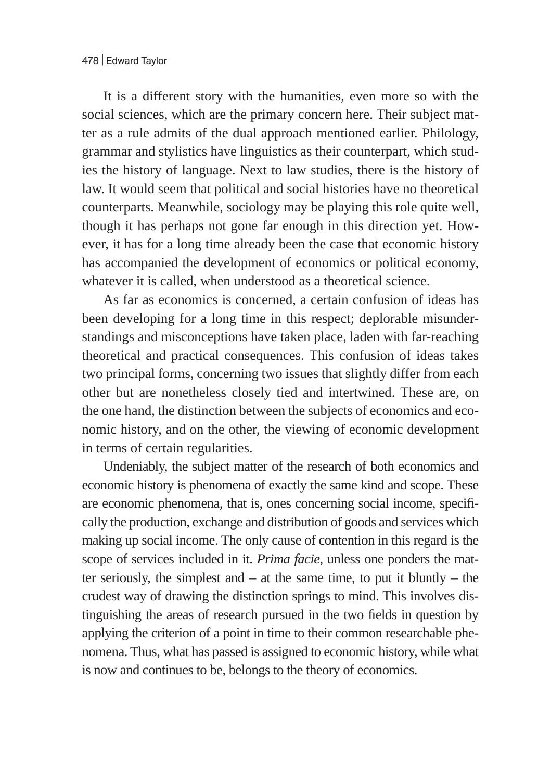It is a different story with the humanities, even more so with the social sciences, which are the primary concern here. Their subject matter as a rule admits of the dual approach mentioned earlier. Philology, grammar and stylistics have linguistics as their counterpart, which studies the history of language. Next to law studies, there is the history of law. It would seem that political and social histories have no theoretical counterparts. Meanwhile, sociology may be playing this role quite well, though it has perhaps not gone far enough in this direction yet. However, it has for a long time already been the case that economic history has accompanied the development of economics or political economy, whatever it is called, when understood as a theoretical science.

As far as economics is concerned, a certain confusion of ideas has been developing for a long time in this respect; deplorable misunderstandings and misconceptions have taken place, laden with far-reaching theoretical and practical consequences. This confusion of ideas takes two principal forms, concerning two issues that slightly differ from each other but are nonetheless closely tied and intertwined. These are, on the one hand, the distinction between the subjects of economics and economic history, and on the other, the viewing of economic development in terms of certain regularities.

Undeniably, the subject matter of the research of both economics and economic history is phenomena of exactly the same kind and scope. These are economic phenomena, that is, ones concerning social income, specifically the production, exchange and distribution of goods and services which making up social income. The only cause of contention in this regard is the scope of services included in it. *Prima facie*, unless one ponders the matter seriously, the simplest and  $-$  at the same time, to put it bluntly  $-$  the crudest way of drawing the distinction springs to mind. This involves distinguishing the areas of research pursued in the two fields in question by applying the criterion of a point in time to their common researchable phenomena. Thus, what has passed is assigned to economic history, while what is now and continues to be, belongs to the theory of economics.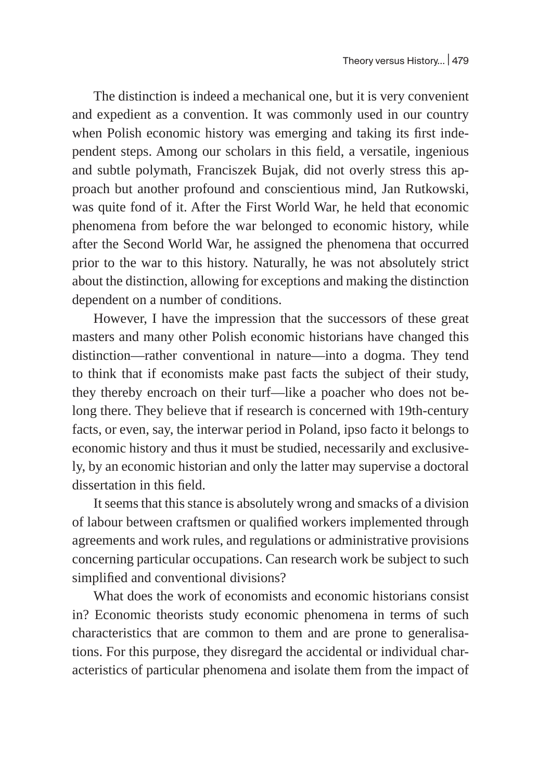The distinction is indeed a mechanical one, but it is very convenient and expedient as a convention. It was commonly used in our country when Polish economic history was emerging and taking its first independent steps. Among our scholars in this field, a versatile, ingenious and subtle polymath, Franciszek Bujak, did not overly stress this approach but another profound and conscientious mind, Jan Rutkowski, was quite fond of it. After the First World War, he held that economic phenomena from before the war belonged to economic history, while after the Second World War, he assigned the phenomena that occurred prior to the war to this history. Naturally, he was not absolutely strict about the distinction, allowing for exceptions and making the distinction dependent on a number of conditions.

However, I have the impression that the successors of these great masters and many other Polish economic historians have changed this distinction—rather conventional in nature—into a dogma. They tend to think that if economists make past facts the subject of their study, they thereby encroach on their turf—like a poacher who does not belong there. They believe that if research is concerned with 19th-century facts, or even, say, the interwar period in Poland, ipso facto it belongs to economic history and thus it must be studied, necessarily and exclusively, by an economic historian and only the latter may supervise a doctoral dissertation in this field.

It seems that this stance is absolutely wrong and smacks of a division of labour between craftsmen or qualified workers implemented through agreements and work rules, and regulations or administrative provisions concerning particular occupations. Can research work be subject to such simplified and conventional divisions?

What does the work of economists and economic historians consist in? Economic theorists study economic phenomena in terms of such characteristics that are common to them and are prone to generalisations. For this purpose, they disregard the accidental or individual characteristics of particular phenomena and isolate them from the impact of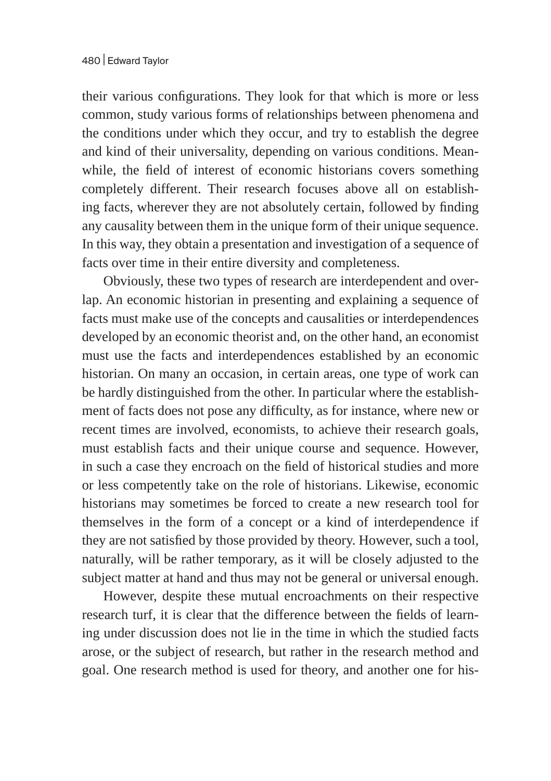their various configurations. They look for that which is more or less common, study various forms of relationships between phenomena and the conditions under which they occur, and try to establish the degree and kind of their universality, depending on various conditions. Meanwhile, the field of interest of economic historians covers something completely different. Their research focuses above all on establishing facts, wherever they are not absolutely certain, followed by finding any causality between them in the unique form of their unique sequence. In this way, they obtain a presentation and investigation of a sequence of facts over time in their entire diversity and completeness.

Obviously, these two types of research are interdependent and overlap. An economic historian in presenting and explaining a sequence of facts must make use of the concepts and causalities or interdependences developed by an economic theorist and, on the other hand, an economist must use the facts and interdependences established by an economic historian. On many an occasion, in certain areas, one type of work can be hardly distinguished from the other. In particular where the establishment of facts does not pose any difficulty, as for instance, where new or recent times are involved, economists, to achieve their research goals, must establish facts and their unique course and sequence. However, in such a case they encroach on the field of historical studies and more or less competently take on the role of historians. Likewise, economic historians may sometimes be forced to create a new research tool for themselves in the form of a concept or a kind of interdependence if they are not satisfied by those provided by theory. However, such a tool, naturally, will be rather temporary, as it will be closely adjusted to the subject matter at hand and thus may not be general or universal enough.

However, despite these mutual encroachments on their respective research turf, it is clear that the difference between the fields of learning under discussion does not lie in the time in which the studied facts arose, or the subject of research, but rather in the research method and goal. One research method is used for theory, and another one for his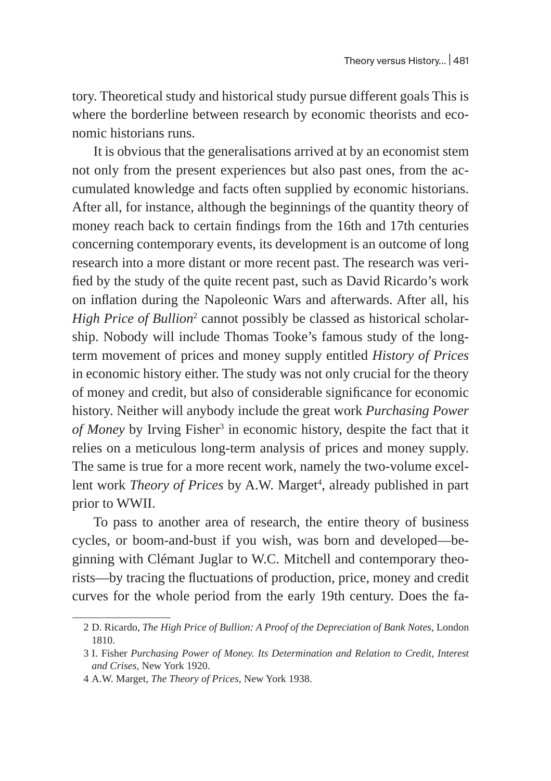tory. Theoretical study and historical study pursue different goals This is where the borderline between research by economic theorists and economic historians runs.

It is obvious that the generalisations arrived at by an economist stem not only from the present experiences but also past ones, from the accumulated knowledge and facts often supplied by economic historians. After all, for instance, although the beginnings of the quantity theory of money reach back to certain findings from the 16th and 17th centuries concerning contemporary events, its development is an outcome of long research into a more distant or more recent past. The research was verified by the study of the quite recent past, such as David Ricardo's work on inflation during the Napoleonic Wars and afterwards. After all, his *High Price of Bullion*<sup>2</sup> cannot possibly be classed as historical scholarship. Nobody will include Thomas Tooke's famous study of the longterm movement of prices and money supply entitled *History of Prices* in economic history either. The study was not only crucial for the theory of money and credit, but also of considerable significance for economic history. Neither will anybody include the great work *Purchasing Power*  of Money by Irving Fisher<sup>3</sup> in economic history, despite the fact that it relies on a meticulous long-term analysis of prices and money supply. The same is true for a more recent work, namely the two-volume excellent work *Theory of Prices* by A.W. Marget<sup>4</sup>, already published in part prior to WWII.

To pass to another area of research, the entire theory of business cycles, or boom-and-bust if you wish, was born and developed—beginning with Clémant Juglar to W.C. Mitchell and contemporary theorists—by tracing the fluctuations of production, price, money and credit curves for the whole period from the early 19th century. Does the fa-

<sup>2</sup> D. Ricardo, *The High Price of Bullion: A Proof of the Depreciation of Bank Notes*, London 1810.

<sup>3</sup> I. Fisher *Purchasing Power of Money. Its Determination and Relation to Credit, Interest and Crises*, New York 1920.

<sup>4</sup> A.W. Marget, *The Theory of Prices*, New York 1938.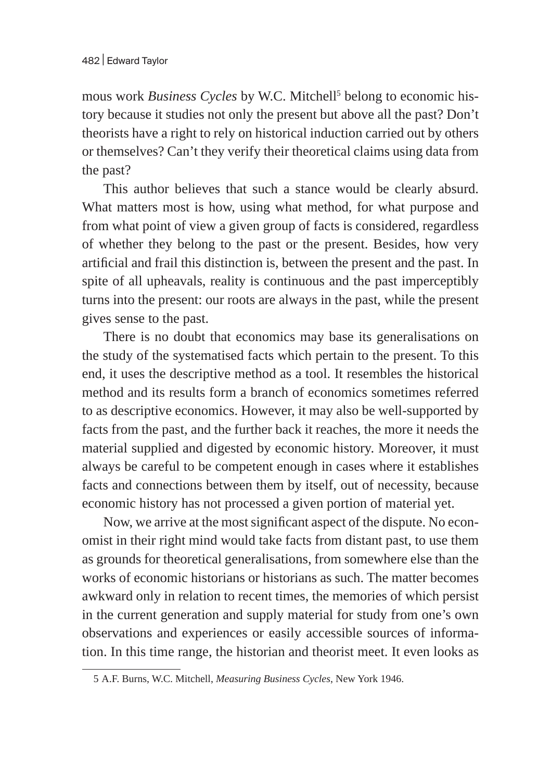mous work *Business Cycles* by W.C. Mitchell<sup>5</sup> belong to economic history because it studies not only the present but above all the past? Don't theorists have a right to rely on historical induction carried out by others or themselves? Can't they verify their theoretical claims using data from the past?

This author believes that such a stance would be clearly absurd. What matters most is how, using what method, for what purpose and from what point of view a given group of facts is considered, regardless of whether they belong to the past or the present. Besides, how very artificial and frail this distinction is, between the present and the past. In spite of all upheavals, reality is continuous and the past imperceptibly turns into the present: our roots are always in the past, while the present gives sense to the past.

There is no doubt that economics may base its generalisations on the study of the systematised facts which pertain to the present. To this end, it uses the descriptive method as a tool. It resembles the historical method and its results form a branch of economics sometimes referred to as descriptive economics. However, it may also be well-supported by facts from the past, and the further back it reaches, the more it needs the material supplied and digested by economic history. Moreover, it must always be careful to be competent enough in cases where it establishes facts and connections between them by itself, out of necessity, because economic history has not processed a given portion of material yet.

Now, we arrive at the most significant aspect of the dispute. No economist in their right mind would take facts from distant past, to use them as grounds for theoretical generalisations, from somewhere else than the works of economic historians or historians as such. The matter becomes awkward only in relation to recent times, the memories of which persist in the current generation and supply material for study from one's own observations and experiences or easily accessible sources of information. In this time range, the historian and theorist meet. It even looks as

<sup>5</sup> A.F. Burns, W.C. Mitchell, *Measuring Business Cycles*, New York 1946.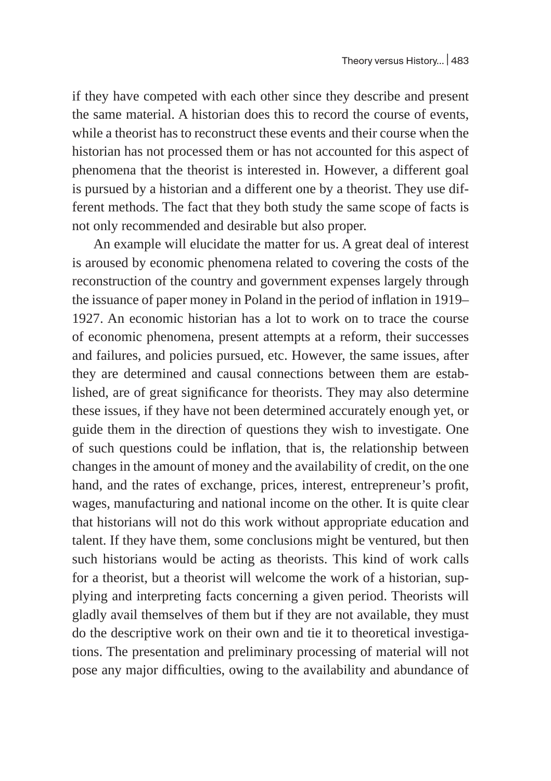if they have competed with each other since they describe and present the same material. A historian does this to record the course of events, while a theorist has to reconstruct these events and their course when the historian has not processed them or has not accounted for this aspect of phenomena that the theorist is interested in. However, a different goal is pursued by a historian and a different one by a theorist. They use different methods. The fact that they both study the same scope of facts is not only recommended and desirable but also proper.

An example will elucidate the matter for us. A great deal of interest is aroused by economic phenomena related to covering the costs of the reconstruction of the country and government expenses largely through the issuance of paper money in Poland in the period of inflation in 1919– 1927. An economic historian has a lot to work on to trace the course of economic phenomena, present attempts at a reform, their successes and failures, and policies pursued, etc. However, the same issues, after they are determined and causal connections between them are established, are of great significance for theorists. They may also determine these issues, if they have not been determined accurately enough yet, or guide them in the direction of questions they wish to investigate. One of such questions could be inflation, that is, the relationship between changes in the amount of money and the availability of credit, on the one hand, and the rates of exchange, prices, interest, entrepreneur's profit, wages, manufacturing and national income on the other. It is quite clear that historians will not do this work without appropriate education and talent. If they have them, some conclusions might be ventured, but then such historians would be acting as theorists. This kind of work calls for a theorist, but a theorist will welcome the work of a historian, supplying and interpreting facts concerning a given period. Theorists will gladly avail themselves of them but if they are not available, they must do the descriptive work on their own and tie it to theoretical investigations. The presentation and preliminary processing of material will not pose any major difficulties, owing to the availability and abundance of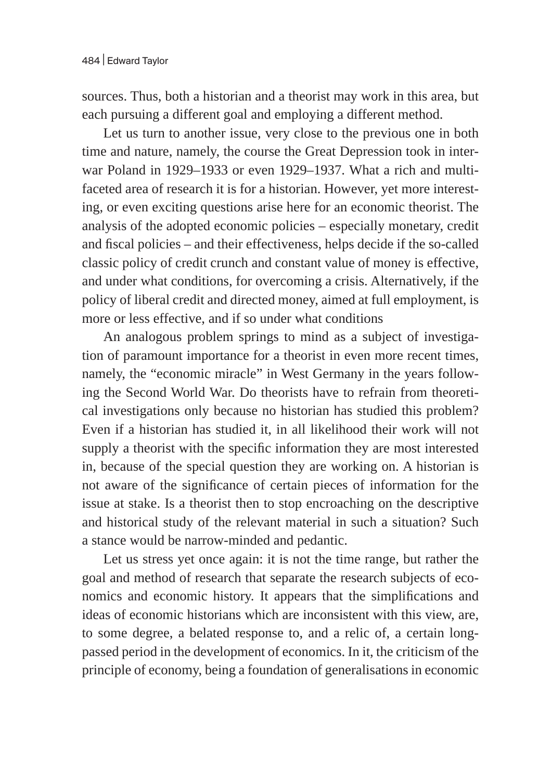sources. Thus, both a historian and a theorist may work in this area, but each pursuing a different goal and employing a different method.

Let us turn to another issue, very close to the previous one in both time and nature, namely, the course the Great Depression took in interwar Poland in 1929–1933 or even 1929–1937. What a rich and multifaceted area of research it is for a historian. However, yet more interesting, or even exciting questions arise here for an economic theorist. The analysis of the adopted economic policies – especially monetary, credit and fiscal policies – and their effectiveness, helps decide if the so-called classic policy of credit crunch and constant value of money is effective, and under what conditions, for overcoming a crisis. Alternatively, if the policy of liberal credit and directed money, aimed at full employment, is more or less effective, and if so under what conditions

An analogous problem springs to mind as a subject of investigation of paramount importance for a theorist in even more recent times, namely, the "economic miracle" in West Germany in the years following the Second World War. Do theorists have to refrain from theoretical investigations only because no historian has studied this problem? Even if a historian has studied it, in all likelihood their work will not supply a theorist with the specific information they are most interested in, because of the special question they are working on. A historian is not aware of the significance of certain pieces of information for the issue at stake. Is a theorist then to stop encroaching on the descriptive and historical study of the relevant material in such a situation? Such a stance would be narrow-minded and pedantic.

Let us stress yet once again: it is not the time range, but rather the goal and method of research that separate the research subjects of economics and economic history. It appears that the simplifications and ideas of economic historians which are inconsistent with this view, are, to some degree, a belated response to, and a relic of, a certain longpassed period in the development of economics. In it, the criticism of the principle of economy, being a foundation of generalisations in economic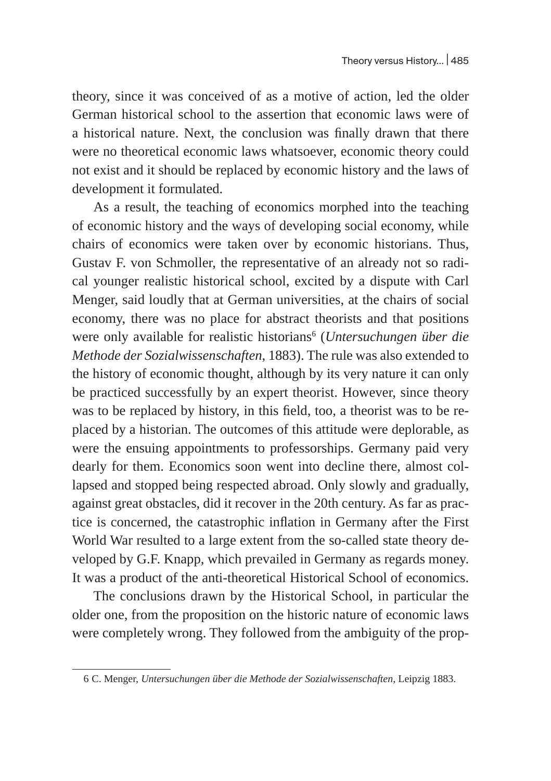theory, since it was conceived of as a motive of action, led the older German historical school to the assertion that economic laws were of a historical nature. Next, the conclusion was finally drawn that there were no theoretical economic laws whatsoever, economic theory could not exist and it should be replaced by economic history and the laws of development it formulated.

As a result, the teaching of economics morphed into the teaching of economic history and the ways of developing social economy, while chairs of economics were taken over by economic historians. Thus, Gustav F. von Schmoller, the representative of an already not so radical younger realistic historical school, excited by a dispute with Carl Menger, said loudly that at German universities, at the chairs of social economy, there was no place for abstract theorists and that positions were only available for realistic historians<sup>6</sup> (Untersuchungen über die *Methode der Sozialwissenschaften*, 1883). The rule was also extended to the history of economic thought, although by its very nature it can only be practiced successfully by an expert theorist. However, since theory was to be replaced by history, in this field, too, a theorist was to be replaced by a historian. The outcomes of this attitude were deplorable, as were the ensuing appointments to professorships. Germany paid very dearly for them. Economics soon went into decline there, almost collapsed and stopped being respected abroad. Only slowly and gradually, against great obstacles, did it recover in the 20th century. As far as practice is concerned, the catastrophic inflation in Germany after the First World War resulted to a large extent from the so-called state theory developed by G.F. Knapp, which prevailed in Germany as regards money. It was a product of the anti-theoretical Historical School of economics.

The conclusions drawn by the Historical School, in particular the older one, from the proposition on the historic nature of economic laws were completely wrong. They followed from the ambiguity of the prop-

<sup>6</sup> C. Menger, *Untersuchungen über die Methode der Sozialwissenschaften*, Leipzig 1883.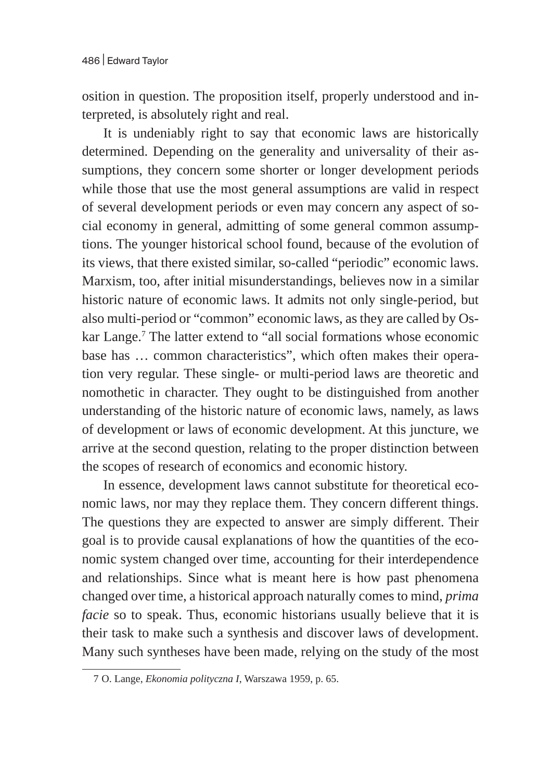osition in question. The proposition itself, properly understood and interpreted, is absolutely right and real.

It is undeniably right to say that economic laws are historically determined. Depending on the generality and universality of their assumptions, they concern some shorter or longer development periods while those that use the most general assumptions are valid in respect of several development periods or even may concern any aspect of social economy in general, admitting of some general common assumptions. The younger historical school found, because of the evolution of its views, that there existed similar, so-called "periodic" economic laws. Marxism, too, after initial misunderstandings, believes now in a similar historic nature of economic laws. It admits not only single-period, but also multi-period or "common" economic laws, as they are called by Oskar Lange.<sup>7</sup> The latter extend to "all social formations whose economic base has … common characteristics", which often makes their operation very regular. These single- or multi-period laws are theoretic and nomothetic in character. They ought to be distinguished from another understanding of the historic nature of economic laws, namely, as laws of development or laws of economic development. At this juncture, we arrive at the second question, relating to the proper distinction between the scopes of research of economics and economic history.

In essence, development laws cannot substitute for theoretical economic laws, nor may they replace them. They concern different things. The questions they are expected to answer are simply different. Their goal is to provide causal explanations of how the quantities of the economic system changed over time, accounting for their interdependence and relationships. Since what is meant here is how past phenomena changed over time, a historical approach naturally comes to mind, *prima facie* so to speak. Thus, economic historians usually believe that it is their task to make such a synthesis and discover laws of development. Many such syntheses have been made, relying on the study of the most

<sup>7</sup> O. Lange, *Ekonomia polityczna I*, Warszawa 1959, p. 65.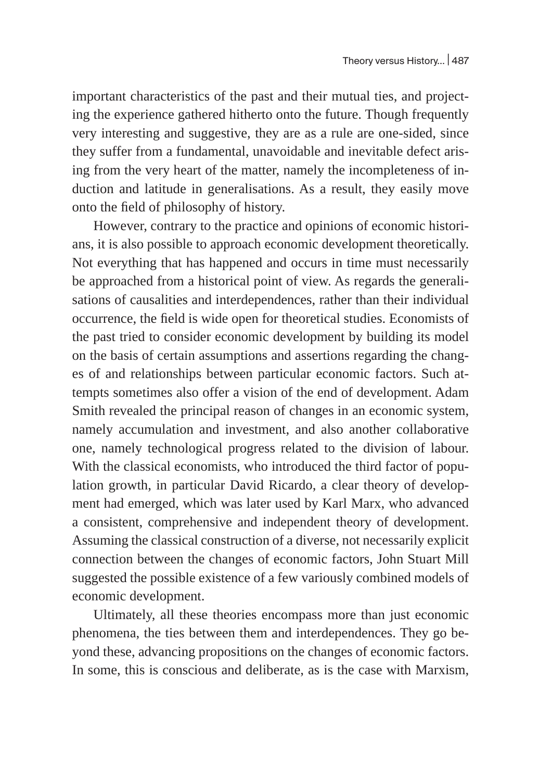important characteristics of the past and their mutual ties, and projecting the experience gathered hitherto onto the future. Though frequently very interesting and suggestive, they are as a rule are one-sided, since they suffer from a fundamental, unavoidable and inevitable defect arising from the very heart of the matter, namely the incompleteness of induction and latitude in generalisations. As a result, they easily move onto the field of philosophy of history.

However, contrary to the practice and opinions of economic historians, it is also possible to approach economic development theoretically. Not everything that has happened and occurs in time must necessarily be approached from a historical point of view. As regards the generalisations of causalities and interdependences, rather than their individual occurrence, the field is wide open for theoretical studies. Economists of the past tried to consider economic development by building its model on the basis of certain assumptions and assertions regarding the changes of and relationships between particular economic factors. Such attempts sometimes also offer a vision of the end of development. Adam Smith revealed the principal reason of changes in an economic system, namely accumulation and investment, and also another collaborative one, namely technological progress related to the division of labour. With the classical economists, who introduced the third factor of population growth, in particular David Ricardo, a clear theory of development had emerged, which was later used by Karl Marx, who advanced a consistent, comprehensive and independent theory of development. Assuming the classical construction of a diverse, not necessarily explicit connection between the changes of economic factors, John Stuart Mill suggested the possible existence of a few variously combined models of economic development.

Ultimately, all these theories encompass more than just economic phenomena, the ties between them and interdependences. They go beyond these, advancing propositions on the changes of economic factors. In some, this is conscious and deliberate, as is the case with Marxism,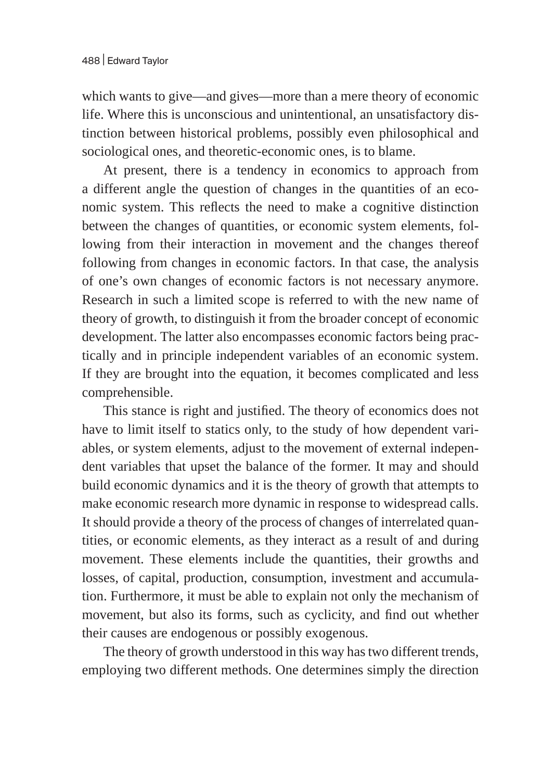which wants to give—and gives—more than a mere theory of economic life. Where this is unconscious and unintentional, an unsatisfactory distinction between historical problems, possibly even philosophical and sociological ones, and theoretic-economic ones, is to blame.

At present, there is a tendency in economics to approach from a different angle the question of changes in the quantities of an economic system. This reflects the need to make a cognitive distinction between the changes of quantities, or economic system elements, following from their interaction in movement and the changes thereof following from changes in economic factors. In that case, the analysis of one's own changes of economic factors is not necessary anymore. Research in such a limited scope is referred to with the new name of theory of growth, to distinguish it from the broader concept of economic development. The latter also encompasses economic factors being practically and in principle independent variables of an economic system. If they are brought into the equation, it becomes complicated and less comprehensible.

This stance is right and justified. The theory of economics does not have to limit itself to statics only, to the study of how dependent variables, or system elements, adjust to the movement of external independent variables that upset the balance of the former. It may and should build economic dynamics and it is the theory of growth that attempts to make economic research more dynamic in response to widespread calls. It should provide a theory of the process of changes of interrelated quantities, or economic elements, as they interact as a result of and during movement. These elements include the quantities, their growths and losses, of capital, production, consumption, investment and accumulation. Furthermore, it must be able to explain not only the mechanism of movement, but also its forms, such as cyclicity, and find out whether their causes are endogenous or possibly exogenous.

The theory of growth understood in this way has two different trends, employing two different methods. One determines simply the direction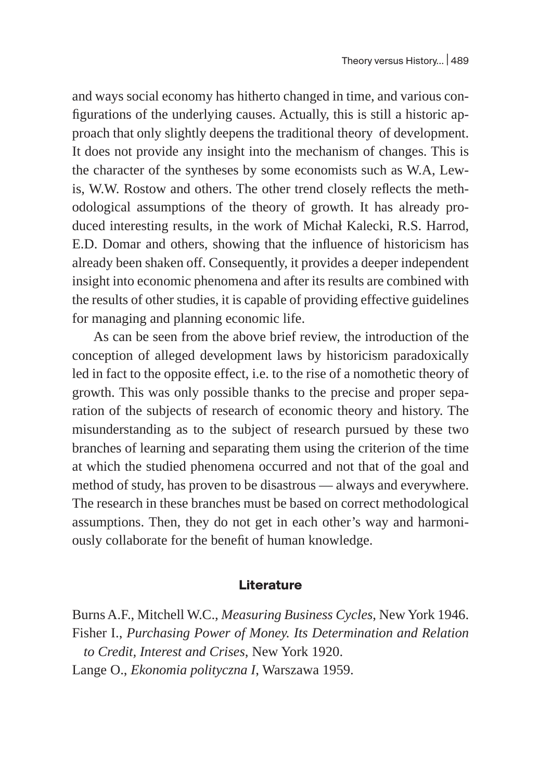and ways social economy has hitherto changed in time, and various configurations of the underlying causes. Actually, this is still a historic approach that only slightly deepens the traditional theory of development. It does not provide any insight into the mechanism of changes. This is the character of the syntheses by some economists such as W.A, Lewis, W.W. Rostow and others. The other trend closely reflects the methodological assumptions of the theory of growth. It has already produced interesting results, in the work of Michał Kalecki, R.S. Harrod, E.D. Domar and others, showing that the influence of historicism has already been shaken off. Consequently, it provides a deeper independent insight into economic phenomena and after its results are combined with the results of other studies, it is capable of providing effective guidelines for managing and planning economic life.

As can be seen from the above brief review, the introduction of the conception of alleged development laws by historicism paradoxically led in fact to the opposite effect, i.e. to the rise of a nomothetic theory of growth. This was only possible thanks to the precise and proper separation of the subjects of research of economic theory and history. The misunderstanding as to the subject of research pursued by these two branches of learning and separating them using the criterion of the time at which the studied phenomena occurred and not that of the goal and method of study, has proven to be disastrous — always and everywhere. The research in these branches must be based on correct methodological assumptions. Then, they do not get in each other's way and harmoniously collaborate for the benefit of human knowledge.

## **Literature**

Burns A.F., Mitchell W.C., *Measuring Business Cycles*, New York 1946. Fisher I., *Purchasing Power of Money. Its Determination and Relation to Credit, Interest and Crises*, New York 1920. Lange O., *Ekonomia polityczna I*, Warszawa 1959.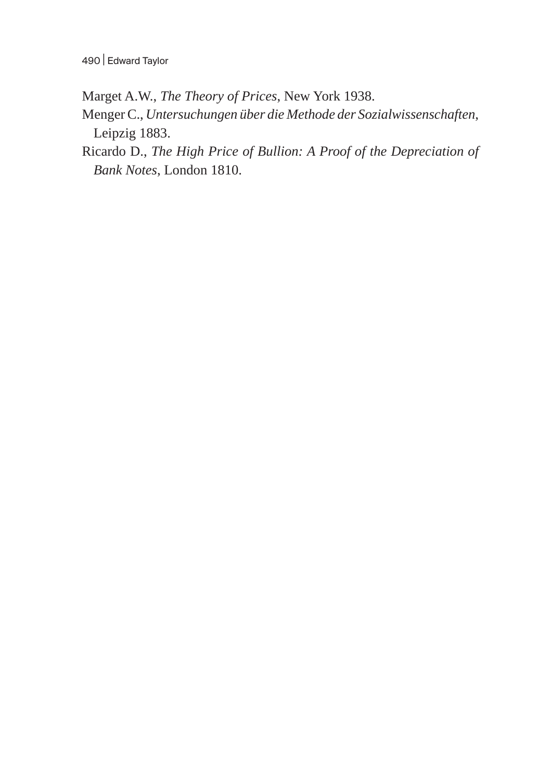Marget A.W., *The Theory of Prices*, New York 1938.

- Menger C., *Untersuchungen über die Methode der Sozialwissenschaften*, Leipzig 1883.
- Ricardo D., *The High Price of Bullion: A Proof of the Depreciation of Bank Notes*, London 1810.